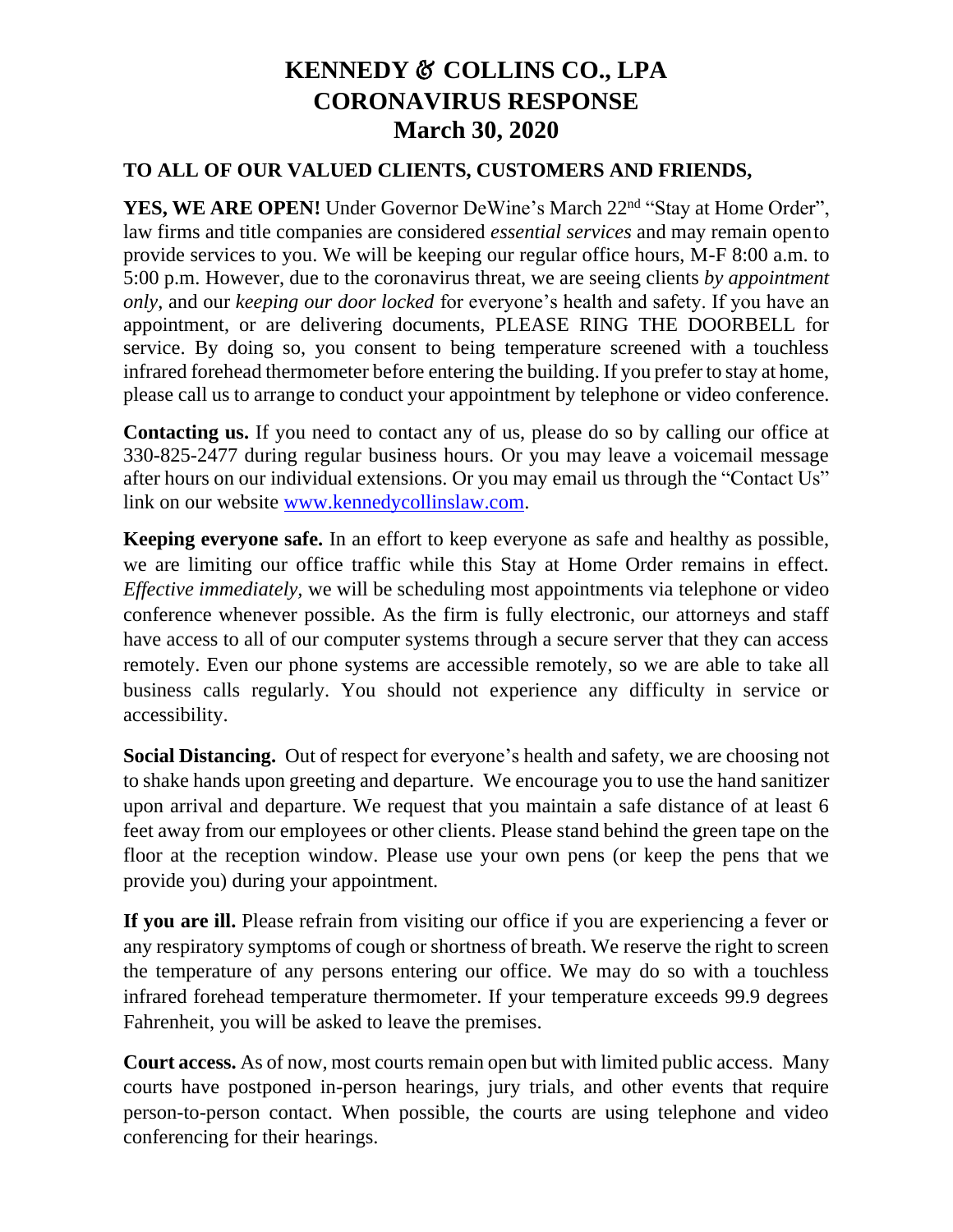## **KENNEDY & COLLINS CO., LPA CORONAVIRUS RESPONSE March 30, 2020**

## **TO ALL OF OUR VALUED CLIENTS, CUSTOMERS AND FRIENDS,**

**YES, WE ARE OPEN!** Under Governor DeWine's March 22nd "Stay at Home Order", law firms and title companies are considered *essential services* and may remain opento provide services to you. We will be keeping our regular office hours, M-F 8:00 a.m. to 5:00 p.m. However, due to the coronavirus threat, we are seeing clients *by appointment only*, and our *keeping our door locked* for everyone's health and safety. If you have an appointment, or are delivering documents, PLEASE RING THE DOORBELL for service. By doing so, you consent to being temperature screened with a touchless infrared forehead thermometer before entering the building. If you prefer to stay at home, please call us to arrange to conduct your appointment by telephone or video conference.

**Contacting us.** If you need to contact any of us, please do so by calling our office at 330-825-2477 during regular business hours. Or you may leave a voicemail message after hours on our individual extensions. Or you may email us through the "Contact Us" link on our website [www.kennedycollinslaw.com.](http://www.kennedycollinslaw.com/)

**Keeping everyone safe.** In an effort to keep everyone as safe and healthy as possible, we are limiting our office traffic while this Stay at Home Order remains in effect. *Effective immediately,* we will be scheduling most appointments via telephone or video conference whenever possible. As the firm is fully electronic, our attorneys and staff have access to all of our computer systems through a secure server that they can access remotely. Even our phone systems are accessible remotely, so we are able to take all business calls regularly. You should not experience any difficulty in service or accessibility.

**Social Distancing.** Out of respect for everyone's health and safety, we are choosing not to shake hands upon greeting and departure. We encourage you to use the hand sanitizer upon arrival and departure. We request that you maintain a safe distance of at least 6 feet away from our employees or other clients. Please stand behind the green tape on the floor at the reception window. Please use your own pens (or keep the pens that we provide you) during your appointment.

**If you are ill.** Please refrain from visiting our office if you are experiencing a fever or any respiratory symptoms of cough or shortness of breath. We reserve the right to screen the temperature of any persons entering our office. We may do so with a touchless infrared forehead temperature thermometer. If your temperature exceeds 99.9 degrees Fahrenheit, you will be asked to leave the premises.

**Court access.** As of now, most courts remain open but with limited public access. Many courts have postponed in-person hearings, jury trials, and other events that require person-to-person contact. When possible, the courts are using telephone and video conferencing for their hearings.